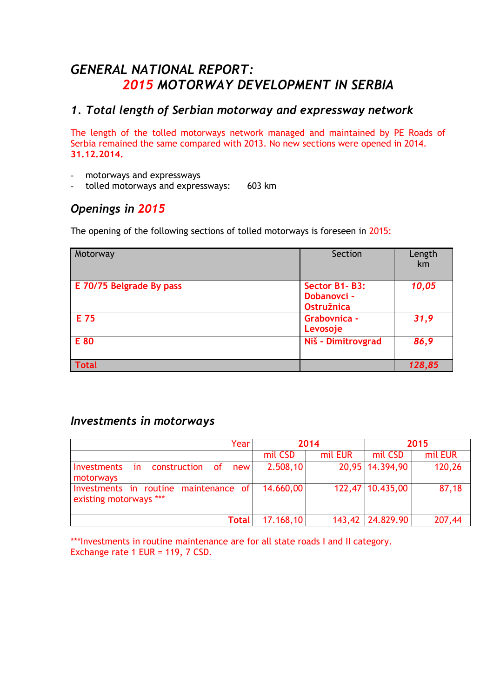# *GENERAL NATIONAL REPORT: 2015 MOTORWAY DEVELOPMENT IN SERBIA*

# *1. Total length of Serbian motorway and expressway network*

The length of the tolled motorways network managed and maintained by PE Roads of Serbia remained the same compared with 2013. No new sections were opened in 2014. **31.12.2014.** 

- motorways and expressways
- tolled motorways and expressways: 603 km

# *Openings in 2015*

The opening of the following sections of tolled motorways is foreseen in 2015:

| Motorway                 | Section                                                  | Length<br>km |
|--------------------------|----------------------------------------------------------|--------------|
| E 70/75 Belgrade By pass | Sector B1-B3:<br><b>Dobanovci -</b><br><b>Ostružnica</b> | 10,05        |
| E 75                     | Grabovnica -<br>Levosoje                                 | 31,9         |
| E 80                     | Niš - Dimitrovgrad                                       | 86,9         |
| <b>Total</b>             |                                                          | 128,85       |

## *Investments in motorways*

| Year                                                            | 2014      |         | 2015             |         |
|-----------------------------------------------------------------|-----------|---------|------------------|---------|
|                                                                 | mil CSD   | mil EUR | mil CSD          | mil EUR |
| construction of<br>Investments<br>new<br>in.<br>motorways       | 2.508,10  |         | 20,95 14.394,90  | 120,26  |
| Investments in routine maintenance of<br>existing motorways *** | 14.660,00 |         | 122,47 10.435,00 | 87,18   |
| Total                                                           | 17.168,10 |         | 143,42 24.829.90 | 207,44  |

\*\*\*Investments in routine maintenance are for all state roads I and II category. Exchange rate 1 EUR = 119, 7 CSD.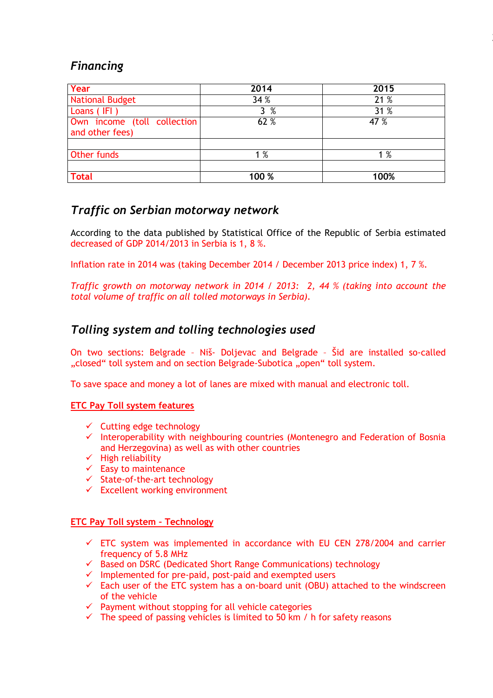# *Financing*

| Year                                           | 2014   | 2015 |
|------------------------------------------------|--------|------|
| <b>National Budget</b>                         | 34%    | 21 % |
| Loans (IFI)                                    | %<br>3 | 31 % |
| Own income (toll collection<br>and other fees) | 62 %   | 47 % |
|                                                |        |      |
| <b>Other funds</b>                             | 1%     | 1%   |
| <b>Total</b>                                   | 100 %  | 100% |

2

# *Traffic on Serbian motorway network*

According to the data published by Statistical Office of the Republic of Serbia estimated decreased of GDP 2014/2013 in Serbia is 1, 8 %.

Inflation rate in 2014 was (taking December 2014 / December 2013 price index) 1, 7 %.

*Traffic growth on motorway network in 2014 / 2013: 2, 44 % (taking into account the total volume of traffic on all tolled motorways in Serbia).*

# *Tolling system and tolling technologies used*

On two sections: Belgrade – Niš- Doljevac and Belgrade – Šid are installed so-called "closed" toll system and on section Belgrade-Subotica "open" toll system.

To save space and money a lot of lanes are mixed with manual and electronic toll.

#### **ETC Pay Toll system features**

- $\checkmark$  Cutting edge technology
- $\checkmark$  Interoperability with neighbouring countries (Montenegro and Federation of Bosnia and Herzegovina) as well as with other countries
- $\checkmark$  High reliability
- $\checkmark$  Easy to maintenance
- $\checkmark$  State-of-the-art technology
- $\checkmark$  Excellent working environment

#### **ETC Pay Toll system – Technology**

- $\checkmark$  ETC system was implemented in accordance with EU CEN 278/2004 and carrier frequency of 5.8 MHz
- $\checkmark$  Based on DSRC (Dedicated Short Range Communications) technology
- $\checkmark$  Implemented for pre-paid, post-paid and exempted users
- $\checkmark$  Each user of the ETC system has a on-board unit (OBU) attached to the windscreen of the vehicle
- $\checkmark$  Payment without stopping for all vehicle categories
- $\checkmark$  The speed of passing vehicles is limited to 50 km / h for safety reasons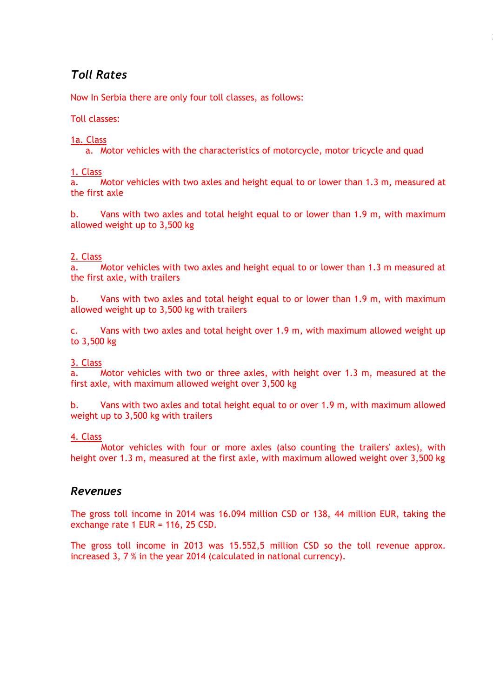# *Toll Rates*

Now In Serbia there are only four toll classes, as follows:

Toll classes:

#### 1a. Class

a. Motor vehicles with the characteristics of motorcycle, motor tricycle and quad

 $\frac{1. \text{ Class}}{a.}$ Motor vehicles with two axles and height equal to or lower than 1.3 m, measured at the first axle

b. Vans with two axles and total height equal to or lower than 1.9 m, with maximum allowed weight up to 3,500 kg

#### 2. Class

a. Motor vehicles with two axles and height equal to or lower than 1.3 m measured at the first axle, with trailers

b. Vans with two axles and total height equal to or lower than 1.9 m, with maximum allowed weight up to 3,500 kg with trailers

c. Vans with two axles and total height over 1.9 m, with maximum allowed weight up to 3,500 kg

#### 3. Class

a. Motor vehicles with two or three axles, with height over 1.3 m, measured at the first axle, with maximum allowed weight over 3,500 kg

b. Vans with two axles and total height equal to or over 1.9 m, with maximum allowed weight up to 3,500 kg with trailers

#### 4. Class

 Motor vehicles with four or more axles (also counting the trailers' axles), with height over 1.3 m, measured at the first axle, with maximum allowed weight over 3,500 kg

## *Revenues*

The gross toll income in 2014 was 16.094 million CSD or 138, 44 million EUR, taking the exchange rate 1 EUR = 116, 25 CSD.

The gross toll income in 2013 was 15.552,5 million CSD so the toll revenue approx. increased 3, 7 % in the year 2014 (calculated in national currency).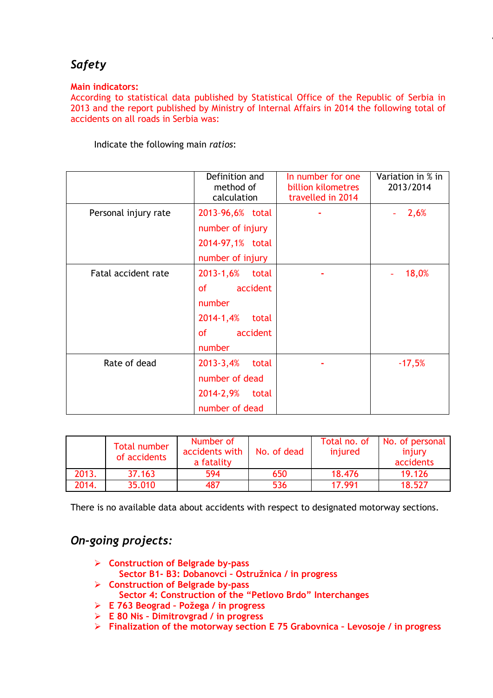# *Safety*

#### **Main indicators:**

According to statistical data published by Statistical Office of the Republic of Serbia in 2013 and the report published by Ministry of Internal Affairs in 2014 the following total of accidents on all roads in Serbia was:

4

Indicate the following main *ratios*:

|                      | Definition and<br>method of<br>calculation | In number for one<br>billion kilometres<br>travelled in 2014 | Variation in % in<br>2013/2014 |
|----------------------|--------------------------------------------|--------------------------------------------------------------|--------------------------------|
| Personal injury rate | 2013-96,6% total                           |                                                              | 2,6%                           |
|                      | number of injury                           |                                                              |                                |
|                      | 2014-97,1% total                           |                                                              |                                |
|                      | number of injury                           |                                                              |                                |
| Fatal accident rate  | 2013-1,6%<br>total                         |                                                              | 18,0%                          |
|                      | accident<br>of the control                 |                                                              |                                |
|                      | number                                     |                                                              |                                |
|                      | 2014-1,4%<br>total                         |                                                              |                                |
|                      | $of$ and $\overline{a}$<br>accident        |                                                              |                                |
|                      | number                                     |                                                              |                                |
| Rate of dead         | 2013-3,4%<br>total                         |                                                              | $-17,5%$                       |
|                      | number of dead                             |                                                              |                                |
|                      | 2014-2,9%<br>total                         |                                                              |                                |
|                      | number of dead                             |                                                              |                                |

|       | <b>Total number</b><br>of accidents | Number of<br>accidents with   No. of dead<br>a fatality |     | Total no. of<br>injured | No. of personal<br>injury<br>accidents |
|-------|-------------------------------------|---------------------------------------------------------|-----|-------------------------|----------------------------------------|
| 2013. | 37.163                              | 594                                                     | 650 | 18.476                  | 19.126                                 |
| 2014. | 35.010                              | 487                                                     | 536 | 17.991                  | 18.527                                 |

There is no available data about accidents with respect to designated motorway sections.

## *On-going projects:*

- **Construction of Belgrade by-pass Sector B1- B3: Dobanovci – Ostružnica / in progress**
- **Construction of Belgrade by-pass Sector 4: Construction of the "Petlovo Brdo" Interchanges** 
	-
- **E 763 Beograd – Požega / in progress E 80 Nis – Dimitrovgrad / in progress**
- **Finalization of the motorway section E 75 Grabovnica – Levosoje / in progress**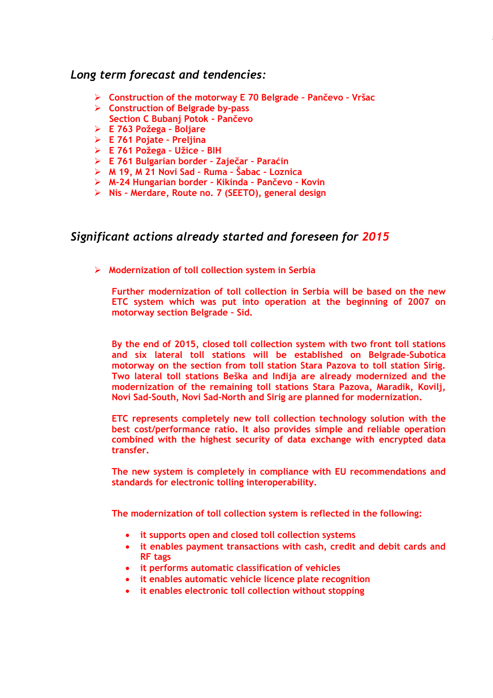## *Long term forecast and tendencies:*

- **Construction of the motorway E 70 Belgrade – Pančevo – Vršac**
- **Construction of Belgrade by-pass Section C Bubanj Potok - Pančevo**
- **E 763 Požega – Boljare**
- **E 761 Pojate – Preljina**
- **E 761 Požega – Užice – BIH**
- **E 761 Bulgarian border – Zaječar – Paraćin**
- **M 19, M 21 Novi Sad – Ruma – Šabac – Loznica**
- **M-24 Hungarian border – Kikinda – Pančevo – Kovin**
- **Nis – Merdare, Route no. 7 (SEETO), general design**

# *Significant actions already started and foreseen for 2015*

**Modernization of toll collection system in Serbia**

**Further modernization of toll collection in Serbia will be based on the new ETC system which was put into operation at the beginning of 2007 on motorway section Belgrade – Sid.** 

**By the end of 2015, closed toll collection system with two front toll stations and six lateral toll stations will be established on Belgrade-Subotica motorway on the section from toll station Stara Pazova to toll station Sirig. Two lateral toll stations Beška and Inđija are already modernized and the modernization of the remaining toll stations Stara Pazova, Maradik, Kovilj, Novi Sad-South, Novi Sad-North and Sirig are planned for modernization.**

**ETC represents completely new toll collection technology solution with the best cost/performance ratio. It also provides simple and reliable operation combined with the highest security of data exchange with encrypted data transfer.**

**The new system is completely in compliance with EU recommendations and standards for electronic tolling interoperability.** 

**The modernization of toll collection system is reflected in the following:**

- **it supports open and closed toll collection systems**
- **it enables payment transactions with cash, credit and debit cards and RF tags**
- **it performs automatic classification of vehicles**
- **it enables automatic vehicle licence plate recognition**
- **it enables electronic toll collection without stopping**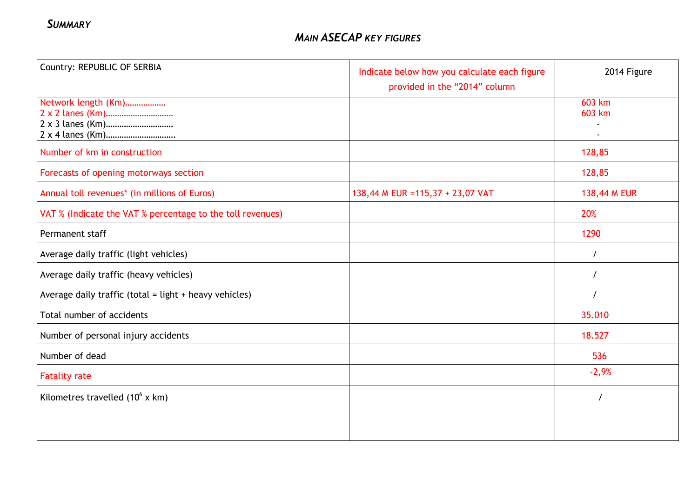| Country: REPUBLIC OF SERBIA                                | Indicate below how you calculate each figure<br>provided in the "2014" column | 2014 Figure      |
|------------------------------------------------------------|-------------------------------------------------------------------------------|------------------|
| Network length (Km)<br>2 x 2 lanes (Km)                    |                                                                               | 603 km<br>603 km |
| Number of km in construction                               |                                                                               | 128,85           |
| Forecasts of opening motorways section                     |                                                                               | 128,85           |
| Annual toll revenues* (in millions of Euros)               | 138,44 M EUR = 115,37 + 23,07 VAT                                             | 138,44 M EUR     |
| VAT % (Indicate the VAT % percentage to the toll revenues) |                                                                               | 20%              |
| Permanent staff                                            |                                                                               | 1290             |
| Average daily traffic (light vehicles)                     |                                                                               | $\prime$         |
| Average daily traffic (heavy vehicles)                     |                                                                               | $\prime$         |
| Average daily traffic (total = light + heavy vehicles)     |                                                                               | $\prime$         |
| Total number of accidents                                  |                                                                               | 35.010           |
| Number of personal injury accidents                        |                                                                               | 18.527           |
| Number of dead                                             |                                                                               | 536              |
| <b>Fatality rate</b>                                       |                                                                               | $-2,9%$          |
| Kilometres travelled $(10^6 \times km)$                    |                                                                               |                  |
|                                                            |                                                                               |                  |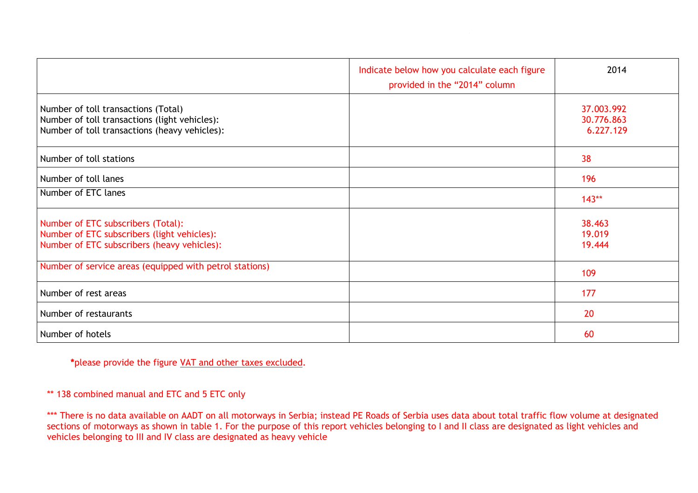|                                                                                                                                       | Indicate below how you calculate each figure<br>provided in the "2014" column | 2014                                  |
|---------------------------------------------------------------------------------------------------------------------------------------|-------------------------------------------------------------------------------|---------------------------------------|
| Number of toll transactions (Total)<br>Number of toll transactions (light vehicles):<br>Number of toll transactions (heavy vehicles): |                                                                               | 37.003.992<br>30.776.863<br>6.227.129 |
| Number of toll stations                                                                                                               |                                                                               | 38                                    |
| Number of toll lanes                                                                                                                  |                                                                               | 196                                   |
| Number of ETC lanes                                                                                                                   |                                                                               | $143**$                               |
| Number of ETC subscribers (Total):<br>Number of ETC subscribers (light vehicles):<br>Number of ETC subscribers (heavy vehicles):      |                                                                               | 38.463<br>19.019<br>19.444            |
| Number of service areas (equipped with petrol stations)                                                                               |                                                                               | 109                                   |
| Number of rest areas                                                                                                                  |                                                                               | 177                                   |
| Number of restaurants                                                                                                                 |                                                                               | 20                                    |
| Number of hotels                                                                                                                      |                                                                               | 60                                    |

**\***please provide the figure VAT and other taxes excluded.

\*\* 138 combined manual and ETC and 5 ETC only

\*\*\* There is no data available on AADT on all motorways in Serbia; instead PE Roads of Serbia uses data about total traffic flow volume at designated sections of motorways as shown in table 1. For the purpose of this report vehicles belonging to I and II class are designated as light vehicles and vehicles belonging to III and IV class are designated as heavy vehicle